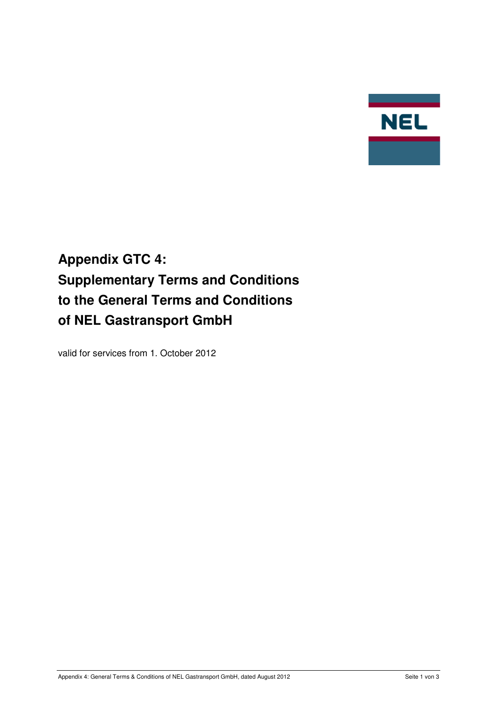

# **Appendix GTC 4: Supplementary Terms and Conditions to the General Terms and Conditions of NEL Gastransport GmbH**

valid for services from 1. October 2012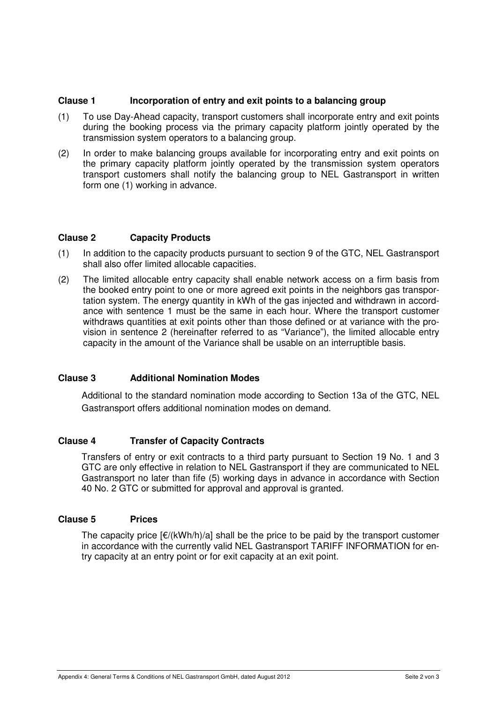# **Clause 1 Incorporation of entry and exit points to a balancing group**

- (1) To use Day-Ahead capacity, transport customers shall incorporate entry and exit points during the booking process via the primary capacity platform jointly operated by the transmission system operators to a balancing group.
- (2) In order to make balancing groups available for incorporating entry and exit points on the primary capacity platform jointly operated by the transmission system operators transport customers shall notify the balancing group to NEL Gastransport in written form one (1) working in advance.

# **Clause 2 Capacity Products**

- (1) In addition to the capacity products pursuant to section 9 of the GTC, NEL Gastransport shall also offer limited allocable capacities.
- (2) The limited allocable entry capacity shall enable network access on a firm basis from the booked entry point to one or more agreed exit points in the neighbors gas transportation system. The energy quantity in kWh of the gas injected and withdrawn in accordance with sentence 1 must be the same in each hour. Where the transport customer withdraws quantities at exit points other than those defined or at variance with the provision in sentence 2 (hereinafter referred to as "Variance"), the limited allocable entry capacity in the amount of the Variance shall be usable on an interruptible basis.

#### **Clause 3 Additional Nomination Modes**

Additional to the standard nomination mode according to Section 13a of the GTC, NEL Gastransport offers additional nomination modes on demand.

#### **Clause 4 Transfer of Capacity Contracts**

Transfers of entry or exit contracts to a third party pursuant to Section 19 No. 1 and 3 GTC are only effective in relation to NEL Gastransport if they are communicated to NEL Gastransport no later than fife (5) working days in advance in accordance with Section 40 No. 2 GTC or submitted for approval and approval is granted.

# **Clause 5 Prices**

The capacity price  $E/(kWh/h)/a$ ] shall be the price to be paid by the transport customer in accordance with the currently valid NEL Gastransport TARIFF INFORMATION for entry capacity at an entry point or for exit capacity at an exit point.